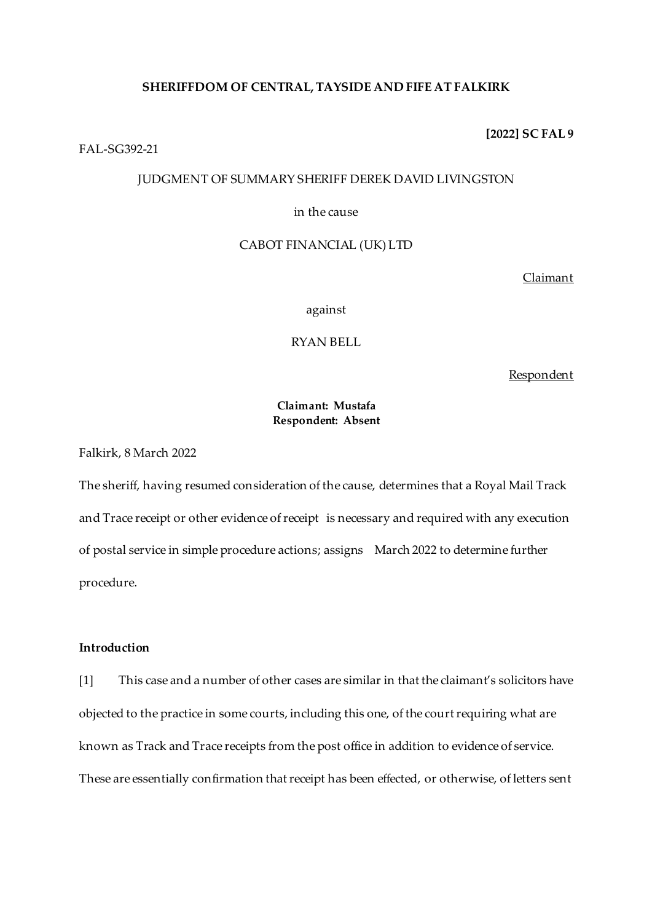### **SHERIFFDOM OF CENTRAL, TAYSIDE AND FIFE AT FALKIRK**

#### FAL-SG392-21

### JUDGMENT OF SUMMARY SHERIFF DEREK DAVID LIVINGSTON

#### in the cause

#### CABOT FINANCIAL (UK) LTD

Claimant

against

RYAN BELL

Respondent

### **Claimant: Mustafa Respondent: Absent**

Falkirk, 8 March 2022

The sheriff, having resumed consideration of the cause, determines that a Royal Mail Track and Trace receipt or other evidence of receipt is necessary and required with any execution of postal service in simple procedure actions; assigns March 2022 to determine further procedure.

## **Introduction**

[1] This case and a number of other cases are similar in that the claimant's solicitors have objected to the practice in some courts, including this one, of the court requiring what are known as Track and Trace receipts from the post office in addition to evidence of service. These are essentially confirmation that receipt has been effected, or otherwise, of letters sent

#### **[2022] SC FAL 9**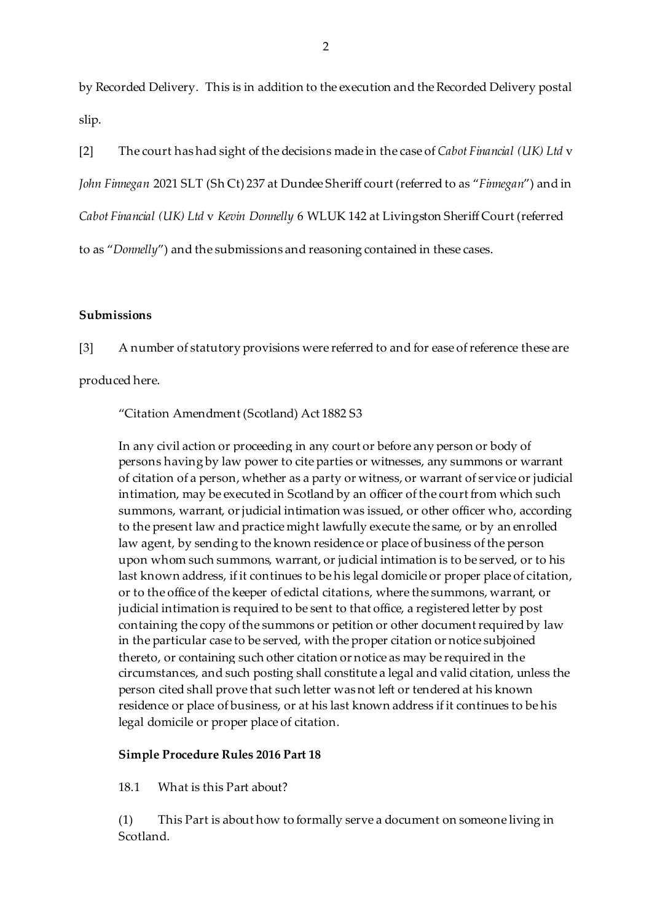by Recorded Delivery. This is in addition to the execution and the Recorded Delivery postal slip.

[2] The court has had sight of the decisions made in the case of *Cabot Financial (UK) Ltd* v *John Finnegan* 2021 SLT (Sh Ct) 237 at Dundee Sheriff court (referred to as "*Finnegan*") and in *Cabot Financial (UK) Ltd* v *Kevin Donnelly* 6 WLUK 142 at Livingston Sheriff Court (referred to as "*Donnelly*") and the submissions and reasoning contained in these cases.

### **Submissions**

[3] A number of statutory provisions were referred to and for ease of reference these are

produced here.

"Citation Amendment (Scotland) Act 1882 S3

In any civil action or proceeding in any court or before any person or body of persons having by law power to cite parties or witnesses, any summons or warrant of citation of a person, whether as a party or witness, or warrant of service or judicial intimation, may be executed in Scotland by an officer of the court from which such summons, warrant, or judicial intimation was issued, or other officer who, according to the present law and practice might lawfully execute the same, or by an enrolled law agent, by sending to the known residence or place of business of the person upon whom such summons, warrant, or judicial intimation is to be served, or to his last known address, if it continues to be his legal domicile or proper place of citation, or to the office of the keeper of edictal citations, where the summons, warrant, or judicial intimation is required to be sent to that office, a registered letter by post containing the copy of the summons or petition or other document required by law in the particular case to be served, with the proper citation or notice subjoined thereto, or containing such other citation or notice as may be required in the circumstances, and such posting shall constitute a legal and valid citation, unless the person cited shall prove that such letter was not left or tendered at his known residence or place of business, or at his last known address if it continues to be his legal domicile or proper place of citation.

#### **Simple Procedure Rules 2016 Part 18**

18.1 What is this Part about?

(1) This Part is about how to formally serve a document on someone living in Scotland.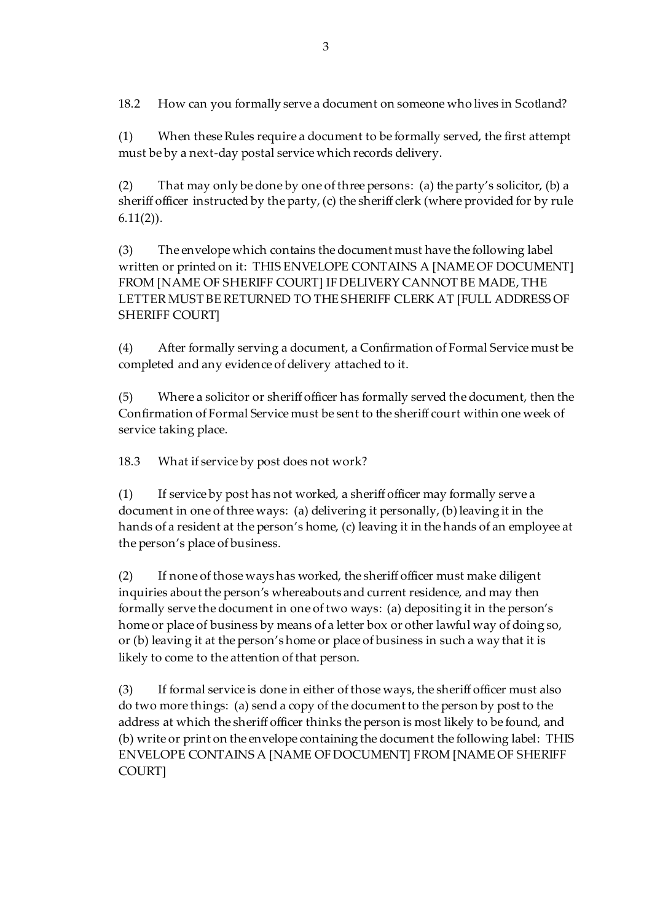18.2 How can you formally serve a document on someone who lives in Scotland?

(1) When these Rules require a document to be formally served, the first attempt must be by a next-day postal service which records delivery.

(2) That may only be done by one of three persons: (a) the party's solicitor, (b) a sheriff officer instructed by the party, (c) the sheriff clerk (where provided for by rule  $6.11(2)$ ).

(3) The envelope which contains the document must have the following label written or printed on it: THIS ENVELOPE CONTAINS A [NAME OF DOCUMENT] FROM [NAME OF SHERIFF COURT] IF DELIVERY CANNOT BE MADE, THE LETTER MUST BE RETURNED TO THE SHERIFF CLERK AT [FULL ADDRESS OF SHERIFF COURT]

(4) After formally serving a document, a Confirmation of Formal Service must be completed and any evidence of delivery attached to it.

(5) Where a solicitor or sheriff officer has formally served the document, then the Confirmation of Formal Service must be sent to the sheriff court within one week of service taking place.

18.3 What if service by post does not work?

(1) If service by post has not worked, a sheriff officer may formally serve a document in one of three ways: (a) delivering it personally, (b) leaving it in the hands of a resident at the person's home, (c) leaving it in the hands of an employee at the person's place of business.

(2) If none of those ways has worked, the sheriff officer must make diligent inquiries about the person's whereabouts and current residence, and may then formally serve the document in one of two ways: (a) depositing it in the person's home or place of business by means of a letter box or other lawful way of doing so, or (b) leaving it at the person's home or place of business in such a way that it is likely to come to the attention of that person.

(3) If formal service is done in either of those ways, the sheriff officer must also do two more things: (a) send a copy of the document to the person by post to the address at which the sheriff officer thinks the person is most likely to be found, and (b) write or print on the envelope containing the document the following label: THIS ENVELOPE CONTAINS A [NAME OF DOCUMENT] FROM [NAME OF SHERIFF COURT]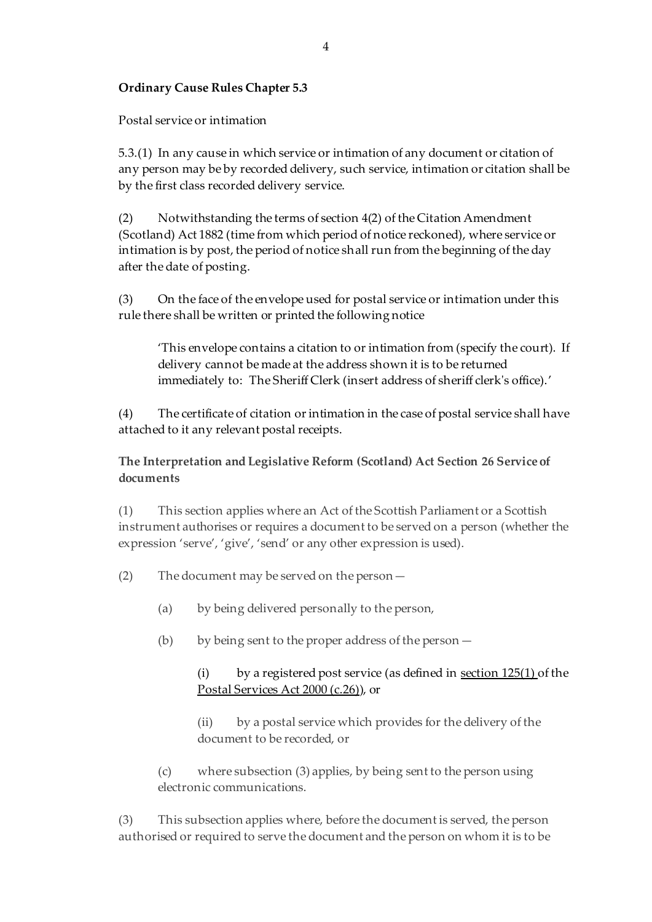# **Ordinary Cause Rules Chapter 5.3**

Postal service or intimation

5.3.(1) In any cause in which service or intimation of any document or citation of any person may be by recorded delivery, such service, intimation or citation shall be by the first class recorded delivery service.

(2) Notwithstanding the terms of section 4(2) of the Citation Amendment (Scotland) Act 1882 (time from which period of notice reckoned), where service or intimation is by post, the period of notice shall run from the beginning of the day after the date of posting.

(3) On the face of the envelope used for postal service or intimation under this rule there shall be written or printed the following notice

'This envelope contains a citation to or intimation from (specify the court). If delivery cannot be made at the address shown it is to be returned immediately to: The Sheriff Clerk (insert address of sheriff clerk's office).'

(4) The certificate of citation or intimation in the case of postal service shall have attached to it any relevant postal receipts.

**The Interpretation and Legislative Reform (Scotland) Act Section 26 Service of documents**

(1) This section applies where an Act of the Scottish Parliament or a Scottish instrument authorises or requires a document to be served on a person (whether the expression 'serve', 'give', 'send' or any other expression is used).

(2) The document may be served on the person—

- (a) by being delivered personally to the person,
- (b) by being sent to the proper address of the person  $-$

# (i) by a registered post service (as defined in <u>[section](https://uk.westlaw.com/Document/I5185FFA0E44A11DA8D70A0E70A78ED65/View/FullText.html?originationContext=document&transitionType=DocumentItem&ppcid=273d15b0078b42cc9f9f3e08a4f416d3&contextData=(sc.Search))  $125(1)$ </u> of the Postal [Services](https://uk.westlaw.com/Document/I5FAEF220E42311DAA7CF8F68F6EE57AB/View/FullText.html?originationContext=document&transitionType=DocumentItem&ppcid=273d15b0078b42cc9f9f3e08a4f416d3&contextData=(sc.Search)) Act 2000 (c.26)), or

(ii) by a postal service which provides for the delivery of the document to be recorded, or

(c) where subsection (3) applies, by being sent to the person using electronic communications.

(3) This subsection applies where, before the document is served, the person authorised or required to serve the document and the person on whom it is to be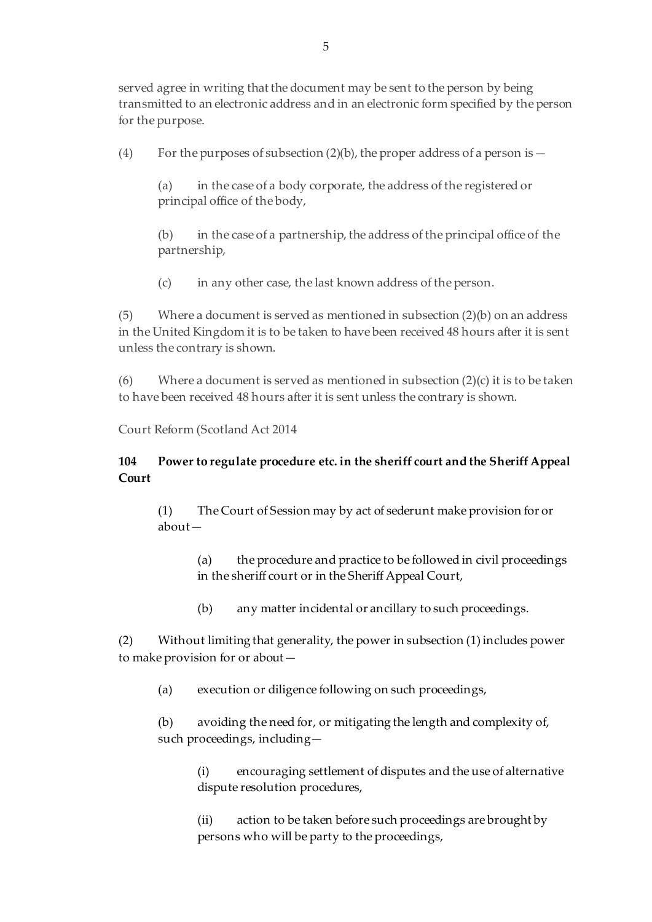served agree in writing that the document may be sent to the person by being transmitted to an electronic address and in an electronic form specified by the person for the purpose.

(4) For the purposes of subsection  $(2)(b)$ , the proper address of a person is  $-$ 

(a) in the case of a body corporate, the address of the registered or principal office of the body,

(b) in the case of a partnership, the address of the principal office of the partnership,

(c) in any other case, the last known address of the person.

(5) Where a document is served as mentioned in subsection (2)(b) on an address in the United Kingdom it is to be taken to have been received 48 hours after it is sent unless the contrary is shown.

(6) Where a document is served as mentioned in subsection  $(2)(c)$  it is to be taken to have been received 48 hours after it is sent unless the contrary is shown.

Court Reform (Scotland Act 2014

# **104 Power to regulate procedure etc. in the sheriff court and the Sheriff Appeal Court**

(1) The Court of Session may by act of sederunt make provision for or about—

(a) the procedure and practice to be followed in civil proceedings in the sheriff court or in the Sheriff Appeal Court,

(b) any matter incidental or ancillary to such proceedings.

(2) Without limiting that generality, the power in subsection (1) includes power to make provision for or about—

(a) execution or diligence following on such proceedings,

(b) avoiding the need for, or mitigating the length and complexity of, such proceedings, including—

> (i) encouraging settlement of disputes and the use of alternative dispute resolution procedures,

(ii) action to be taken before such proceedings are brought by persons who will be party to the proceedings,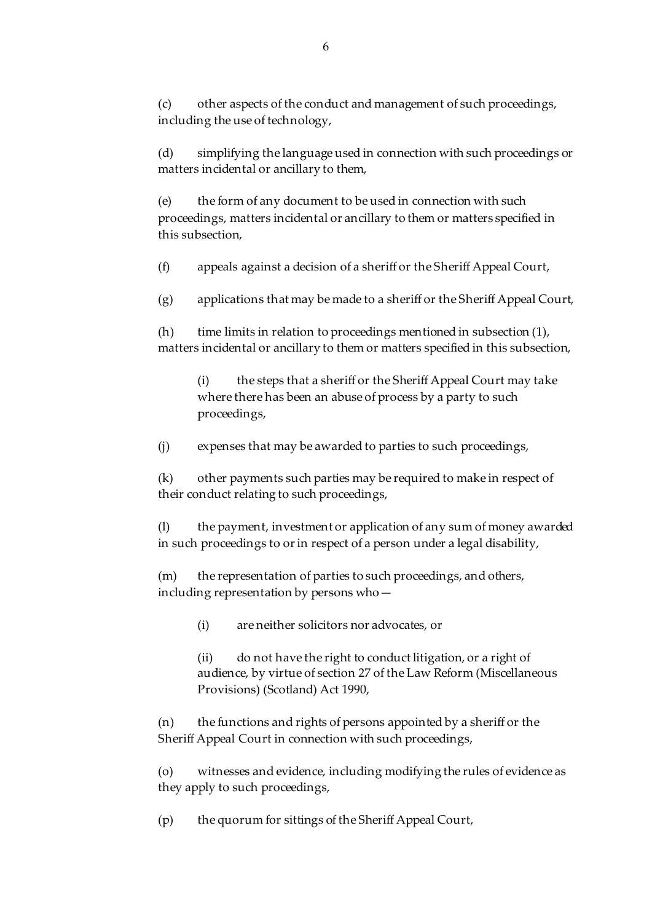(c) other aspects of the conduct and management of such proceedings, including the use of technology,

(d) simplifying the language used in connection with such proceedings or matters incidental or ancillary to them,

(e) the form of any document to be used in connection with such proceedings, matters incidental or ancillary to them or matters specified in this subsection,

(f) appeals against a decision of a sheriff or the Sheriff Appeal Court,

(g) applications that may be made to a sheriff or the Sheriff Appeal Court,

(h) time limits in relation to proceedings mentioned in subsection (1), matters incidental or ancillary to them or matters specified in this subsection,

(i) the steps that a sheriff or the Sheriff Appeal Court may take where there has been an abuse of process by a party to such proceedings,

(j) expenses that may be awarded to parties to such proceedings,

(k) other payments such parties may be required to make in respect of their conduct relating to such proceedings,

(l) the payment, investment or application of any sum of money awarded in such proceedings to or in respect of a person under a legal disability,

(m) the representation of parties to such proceedings, and others, including representation by persons who—

(i) are neither solicitors nor advocates, or

(ii) do not have the right to conduct litigation, or a right of audience, by virtue of section 27 of the Law Reform (Miscellaneous Provisions) (Scotland) Act 1990,

(n) the functions and rights of persons appointed by a sheriff or the Sheriff Appeal Court in connection with such proceedings,

(o) witnesses and evidence, including modifying the rules of evidence as they apply to such proceedings,

(p) the quorum for sittings of the Sheriff Appeal Court,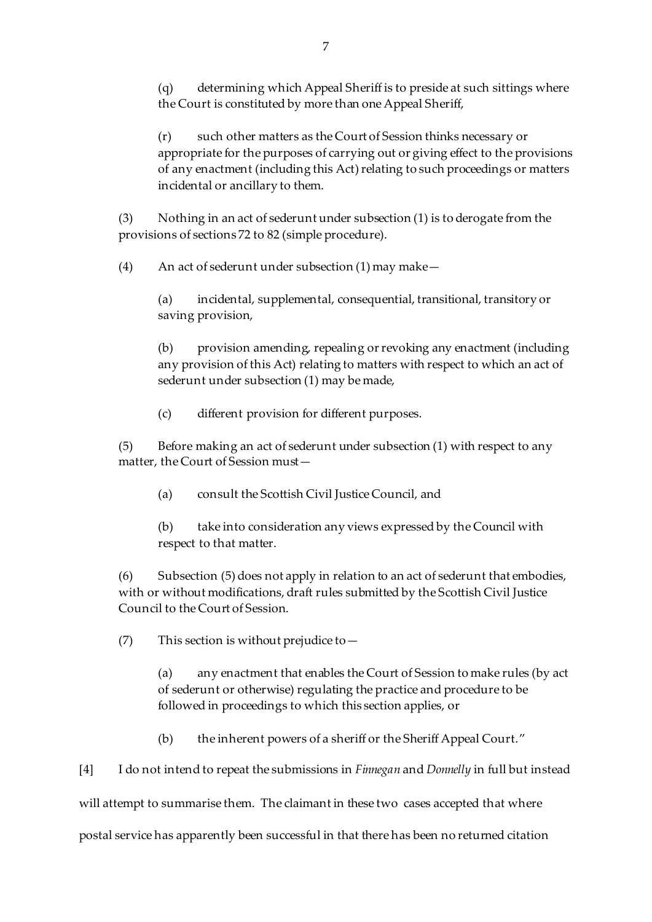(q) determining which Appeal Sheriff is to preside at such sittings where the Court is constituted by more than one Appeal Sheriff,

(r) such other matters as the Court of Session thinks necessary or appropriate for the purposes of carrying out or giving effect to the provisions of any enactment (including this Act) relating to such proceedings or matters incidental or ancillary to them.

(3) Nothing in an act of sederunt under subsection (1) is to derogate from the provisions of sections 72 to 82 (simple procedure).

(4) An act of sederunt under subsection (1) may make—

(a) incidental, supplemental, consequential, transitional, transitory or saving provision,

(b) provision amending, repealing or revoking any enactment (including any provision of this Act) relating to matters with respect to which an act of sederunt under subsection (1) may be made,

(c) different provision for different purposes.

(5) Before making an act of sederunt under subsection (1) with respect to any matter, the Court of Session must—

(a) consult the Scottish Civil Justice Council, and

(b) take into consideration any views expressed by the Council with respect to that matter.

(6) Subsection (5) does not apply in relation to an act of sederunt that embodies, with or without modifications, draft rules submitted by the Scottish Civil Justice Council to the Court of Session.

(7) This section is without prejudice to  $-$ 

(a) any enactment that enables the Court of Session to make rules (by act of sederunt or otherwise) regulating the practice and procedure to be followed in proceedings to which this section applies, or

(b) the inherent powers of a sheriff or the Sheriff Appeal Court."

[4] I do not intend to repeat the submissions in *Finnegan* and *Donnelly* in full but instead

will attempt to summarise them. The claimant in these two cases accepted that where

postal service has apparently been successful in that there has been no returned citation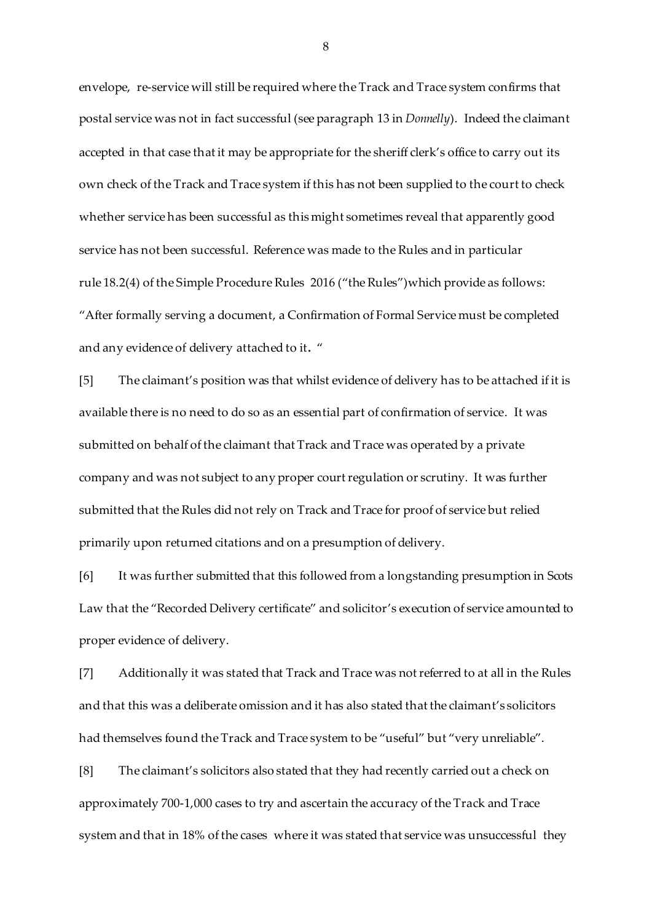envelope, re-service will still be required where the Track and Trace system confirms that postal service was not in fact successful (see paragraph 13 in *Donnelly*). Indeed the claimant accepted in that case that it may be appropriate for the sheriff clerk's office to carry out its own check of the Track and Trace system if this has not been supplied to the court to check whether service has been successful as this might sometimes reveal that apparently good service has not been successful. Reference was made to the Rules and in particular rule 18.2(4) of the Simple Procedure Rules 2016 ("the Rules")which provide as follows: "After formally serving a document, a Confirmation of Formal Service must be completed and any evidence of delivery attached to it**.** "

[5] The claimant's position was that whilst evidence of delivery has to be attached if it is available there is no need to do so as an essential part of confirmation of service. It was submitted on behalf of the claimant that Track and Trace was operated by a private company and was not subject to any proper court regulation or scrutiny. It was further submitted that the Rules did not rely on Track and Trace for proof of service but relied primarily upon returned citations and on a presumption of delivery.

[6] It was further submitted that this followed from a longstanding presumption in Scots Law that the "Recorded Delivery certificate" and solicitor's execution of service amounted to proper evidence of delivery.

[7] Additionally it was stated that Track and Trace was not referred to at all in the Rules and that this was a deliberate omission and it has also stated that the claimant's solicitors had themselves found the Track and Trace system to be "useful" but "very unreliable".

[8] The claimant's solicitors also stated that they had recently carried out a check on approximately 700-1,000 cases to try and ascertain the accuracy of the Track and Trace system and that in 18% of the cases where it was stated that service was unsuccessful they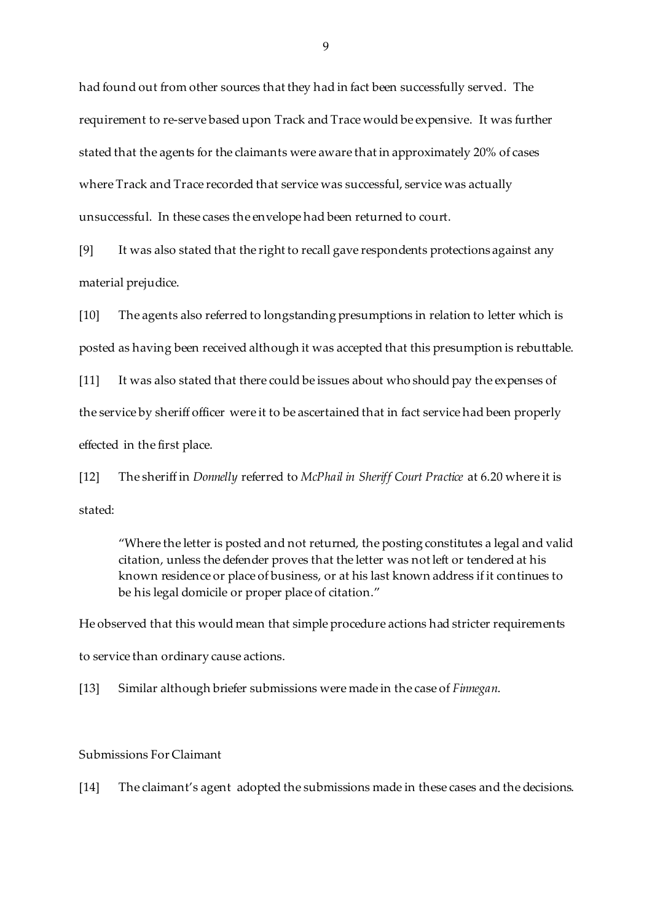had found out from other sources that they had in fact been successfully served. The requirement to re-serve based upon Track and Trace would be expensive. It was further stated that the agents for the claimants were aware that in approximately 20% of cases where Track and Trace recorded that service was successful, service was actually unsuccessful. In these cases the envelope had been returned to court.

[9] It was also stated that the right to recall gave respondents protections against any material prejudice.

[10] The agents also referred to longstanding presumptions in relation to letter which is posted as having been received although it was accepted that this presumption is rebuttable.

[11] It was also stated that there could be issues about who should pay the expenses of the service by sheriff officer were it to be ascertained that in fact service had been properly effected in the first place.

[12] The sheriff in *Donnelly* referred to *McPhail in Sheriff Court Practice* at 6.20 where it is stated:

"Where the letter is posted and not returned, the posting constitutes a legal and valid citation, unless the defender proves that the letter was not left or tendered at his known residence or place of business, or at his last known address if it continues to be his legal domicile or proper place of citation."

He observed that this would mean that simple procedure actions had stricter requirements

to service than ordinary cause actions.

[13] Similar although briefer submissions were made in the case of *Finnegan*.

#### Submissions For Claimant

[14] The claimant's agent adopted the submissions made in these cases and the decisions.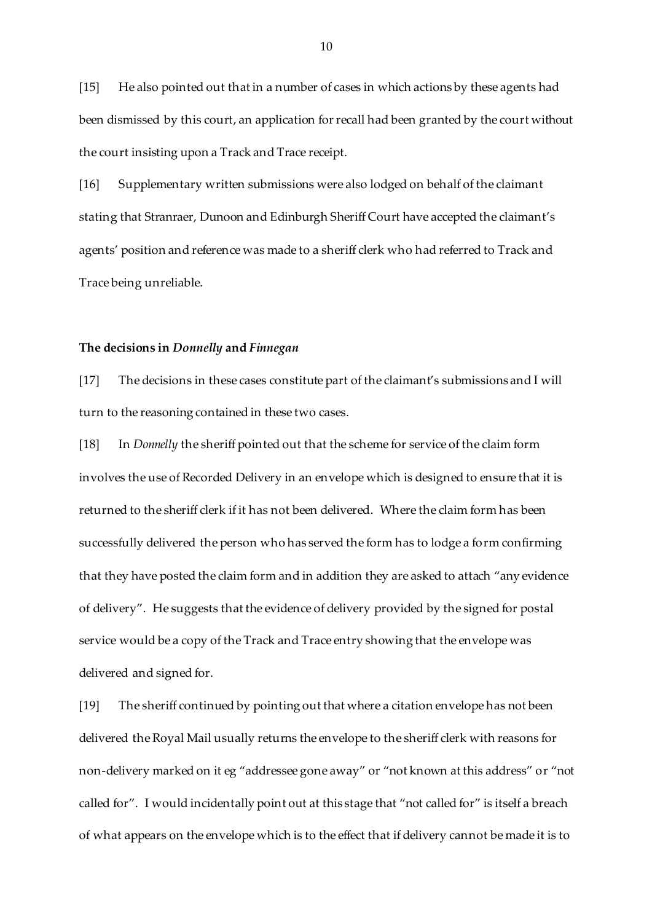[15] He also pointed out that in a number of cases in which actions by these agents had been dismissed by this court, an application for recall had been granted by the court without the court insisting upon a Track and Trace receipt.

[16] Supplementary written submissions were also lodged on behalf of the claimant stating that Stranraer, Dunoon and Edinburgh Sheriff Court have accepted the claimant's agents' position and reference was made to a sheriff clerk who had referred to Track and Trace being unreliable.

#### **The decisions in** *Donnelly* **and** *Finnegan*

[17] The decisions in these cases constitute part of the claimant's submissions and I will turn to the reasoning contained in these two cases.

[18] In *Donnelly* the sheriff pointed out that the scheme for service of the claim form involves the use of Recorded Delivery in an envelope which is designed to ensure that it is returned to the sheriff clerk if it has not been delivered. Where the claim form has been successfully delivered the person who has served the form has to lodge a form confirming that they have posted the claim form and in addition they are asked to attach "any evidence of delivery". He suggests that the evidence of delivery provided by the signed for postal service would be a copy of the Track and Trace entry showing that the envelope was delivered and signed for.

[19] The sheriff continued by pointing out that where a citation envelope has not been delivered the Royal Mail usually returns the envelope to the sheriff clerk with reasons for non-delivery marked on it eg "addressee gone away" or "not known at this address" or "not called for". I would incidentally point out at this stage that "not called for" is itself a breach of what appears on the envelope which is to the effect that if delivery cannot be made it is to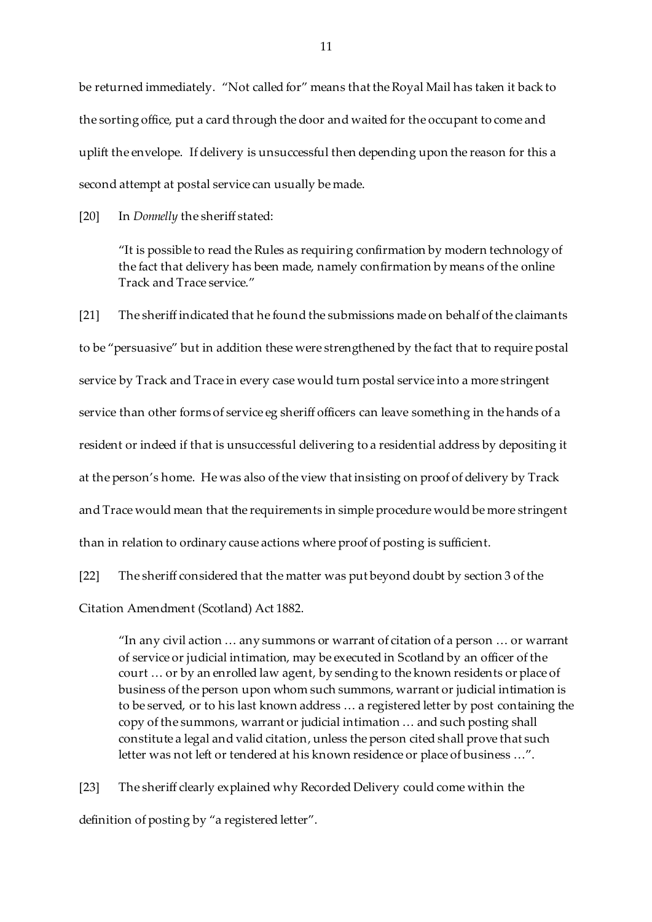be returned immediately. "Not called for" means that the Royal Mail has taken it back to the sorting office, put a card through the door and waited for the occupant to come and uplift the envelope. If delivery is unsuccessful then depending upon the reason for this a second attempt at postal service can usually be made.

[20] In *Donnelly* the sheriff stated:

"It is possible to read the Rules as requiring confirmation by modern technology of the fact that delivery has been made, namely confirmation by means of the online Track and Trace service."

[21] The sheriff indicated that he found the submissions made on behalf of the claimants to be "persuasive" but in addition these were strengthened by the fact that to require postal service by Track and Trace in every case would turn postal service into a more stringent service than other forms of service eg sheriff officers can leave something in the hands of a resident or indeed if that is unsuccessful delivering to a residential address by depositing it at the person's home. He was also of the view that insisting on proof of delivery by Track and Trace would mean that the requirements in simple procedure would be more stringent than in relation to ordinary cause actions where proof of posting is sufficient.

[22] The sheriff considered that the matter was put beyond doubt by section 3 of the Citation Amendment (Scotland) Act 1882.

"In any civil action … any summons or warrant of citation of a person … or warrant of service or judicial intimation, may be executed in Scotland by an officer of the court … or by an enrolled law agent, by sending to the known residents or place of business of the person upon whom such summons, warrant or judicial intimation is to be served, or to his last known address … a registered letter by post containing the copy of the summons, warrant or judicial intimation … and such posting shall constitute a legal and valid citation, unless the person cited shall prove that such letter was not left or tendered at his known residence or place of business …".

[23] The sheriff clearly explained why Recorded Delivery could come within the definition of posting by "a registered letter".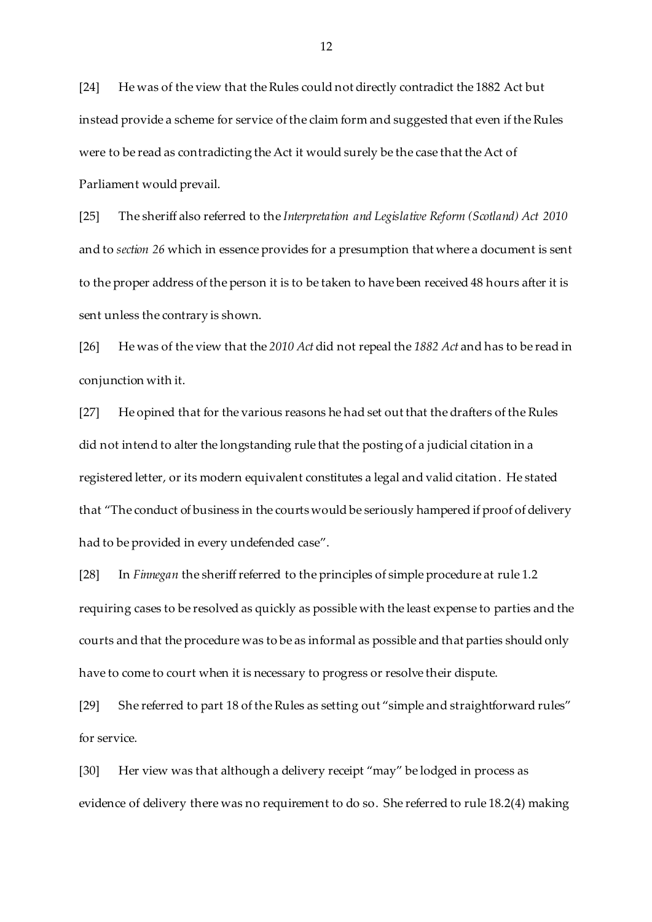[24] He was of the view that the Rules could not directly contradict the 1882 Act but instead provide a scheme for service of the claim form and suggested that even if the Rules were to be read as contradicting the Act it would surely be the case that the Act of Parliament would prevail.

[25] The sheriff also referred to the *Interpretation and Legislative Reform (Scotland) Act 2010* and to *section 26* which in essence provides for a presumption that where a document is sent to the proper address of the person it is to be taken to have been received 48 hours after it is sent unless the contrary is shown.

[26] He was of the view that the *2010 Act* did not repeal the *1882 Act* and has to be read in conjunction with it.

[27] He opined that for the various reasons he had set out that the drafters of the Rules did not intend to alter the longstanding rule that the posting of a judicial citation in a registered letter, or its modern equivalent constitutes a legal and valid citation. He stated that "The conduct of business in the courts would be seriously hampered if proof of delivery had to be provided in every undefended case".

[28] In *Finnegan* the sheriff referred to the principles of simple procedure at rule 1.2 requiring cases to be resolved as quickly as possible with the least expense to parties and the courts and that the procedure was to be as informal as possible and that parties should only have to come to court when it is necessary to progress or resolve their dispute.

[29] She referred to part 18 of the Rules as setting out "simple and straightforward rules" for service.

[30] Her view was that although a delivery receipt "may" be lodged in process as evidence of delivery there was no requirement to do so. She referred to rule 18.2(4) making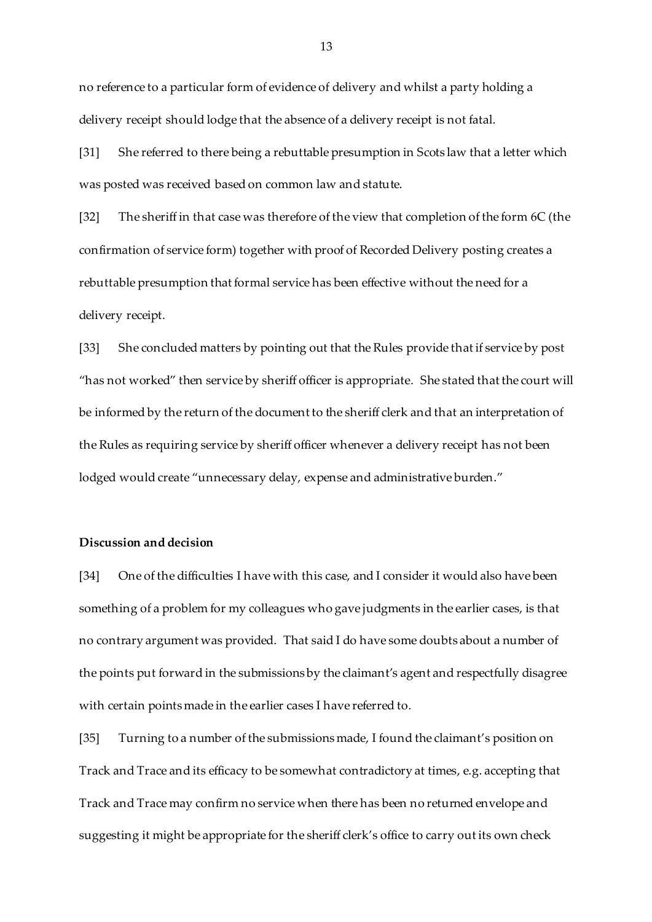no reference to a particular form of evidence of delivery and whilst a party holding a delivery receipt should lodge that the absence of a delivery receipt is not fatal.

[31] She referred to there being a rebuttable presumption in Scots law that a letter which was posted was received based on common law and statute.

[32] The sheriff in that case was therefore of the view that completion of the form 6C (the confirmation of service form) together with proof of Recorded Delivery posting creates a rebuttable presumption that formal service has been effective without the need for a delivery receipt.

[33] She concluded matters by pointing out that the Rules provide that if service by post "has not worked" then service by sheriff officer is appropriate. She stated that the court will be informed by the return of the document to the sheriff clerk and that an interpretation of the Rules as requiring service by sheriff officer whenever a delivery receipt has not been lodged would create "unnecessary delay, expense and administrative burden."

#### **Discussion and decision**

[34] One of the difficulties I have with this case, and I consider it would also have been something of a problem for my colleagues who gave judgments in the earlier cases, is that no contrary argument was provided. That said I do have some doubts about a number of the points put forward in the submissions by the claimant's agent and respectfully disagree with certain points made in the earlier cases I have referred to.

[35] Turning to a number of the submissions made, I found the claimant's position on Track and Trace and its efficacy to be somewhat contradictory at times, e.g. accepting that Track and Trace may confirm no service when there has been no returned envelope and suggesting it might be appropriate for the sheriff clerk's office to carry out its own check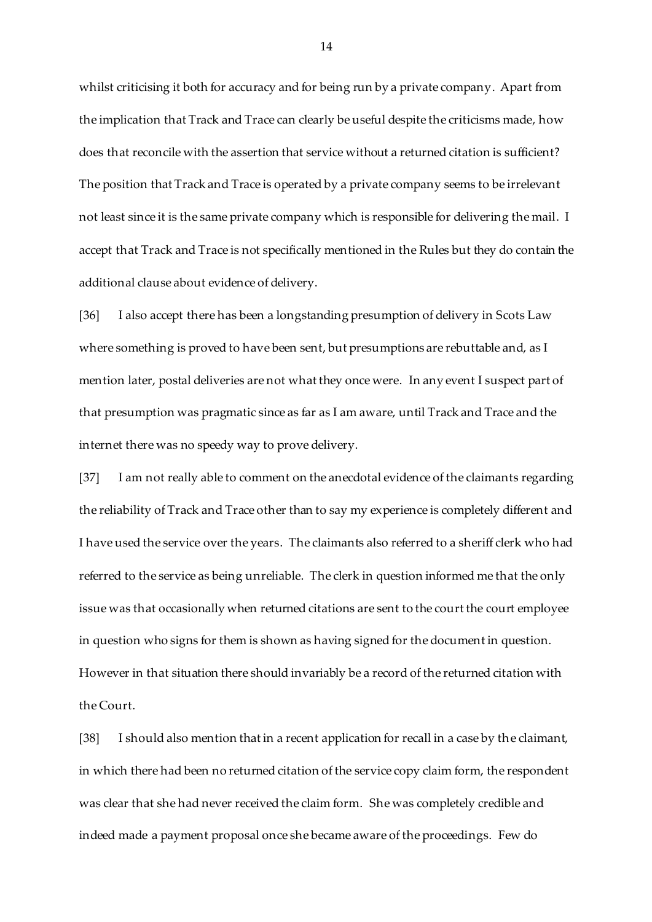whilst criticising it both for accuracy and for being run by a private company. Apart from the implication that Track and Trace can clearly be useful despite the criticisms made, how does that reconcile with the assertion that service without a returned citation is sufficient? The position that Track and Trace is operated by a private company seems to be irrelevant not least since it is the same private company which is responsible for delivering the mail. I accept that Track and Trace is not specifically mentioned in the Rules but they do contain the additional clause about evidence of delivery.

[36] I also accept there has been a longstanding presumption of delivery in Scots Law where something is proved to have been sent, but presumptions are rebuttable and, as I mention later, postal deliveries are not what they once were. In any event I suspect part of that presumption was pragmatic since as far as I am aware, until Track and Trace and the internet there was no speedy way to prove delivery.

[37] I am not really able to comment on the anecdotal evidence of the claimants regarding the reliability of Track and Trace other than to say my experience is completely different and I have used the service over the years. The claimants also referred to a sheriff clerk who had referred to the service as being unreliable. The clerk in question informed me that the only issue was that occasionally when returned citations are sent to the court the court employee in question who signs for them is shown as having signed for the document in question. However in that situation there should invariably be a record of the returned citation with the Court.

[38] I should also mention that in a recent application for recall in a case by the claimant, in which there had been no returned citation of the service copy claim form, the respondent was clear that she had never received the claim form. She was completely credible and indeed made a payment proposal once she became aware of the proceedings. Few do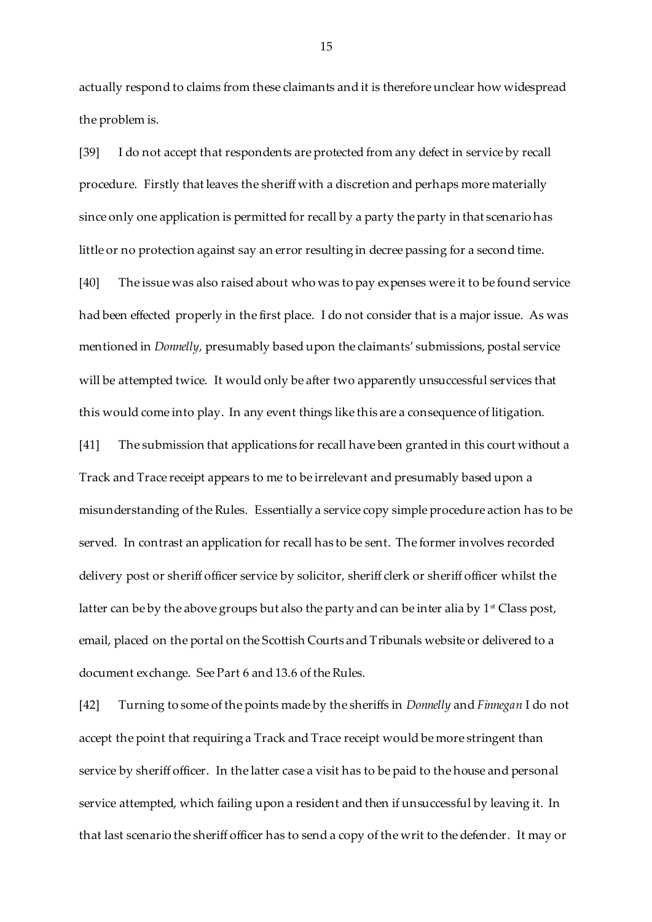actually respond to claims from these claimants and it is therefore unclear how widespread the problem is.

[39] I do not accept that respondents are protected from any defect in service by recall procedure. Firstly that leaves the sheriff with a discretion and perhaps more materially since only one application is permitted for recall by a party the party in that scenario has little or no protection against say an error resulting in decree passing for a second time.

[40] The issue was also raised about who was to pay expenses were it to be found service had been effected properly in the first place. I do not consider that is a major issue. As was mentioned in *Donnelly*, presumably based upon the claimants' submissions, postal service will be attempted twice. It would only be after two apparently unsuccessful services that this would come into play. In any event things like this are a consequence of litigation.

[41] The submission that applications for recall have been granted in this court without a Track and Trace receipt appears to me to be irrelevant and presumably based upon a misunderstanding of the Rules. Essentially a service copy simple procedure action has to be served. In contrast an application for recall has to be sent. The former involves recorded delivery post or sheriff officer service by solicitor, sheriff clerk or sheriff officer whilst the latter can be by the above groups but also the party and can be inter alia by  $1$ <sup>st</sup> Class post, email, placed on the portal on the Scottish Courts and Tribunals website or delivered to a document exchange. See Part 6 and 13.6 of the Rules.

[42] Turning to some of the points made by the sheriffs in *Donnelly* and *Finnegan* I do not accept the point that requiring a Track and Trace receipt would be more stringent than service by sheriff officer. In the latter case a visit has to be paid to the house and personal service attempted, which failing upon a resident and then if unsuccessful by leaving it. In that last scenario the sheriff officer has to send a copy of the writ to the defender. It may or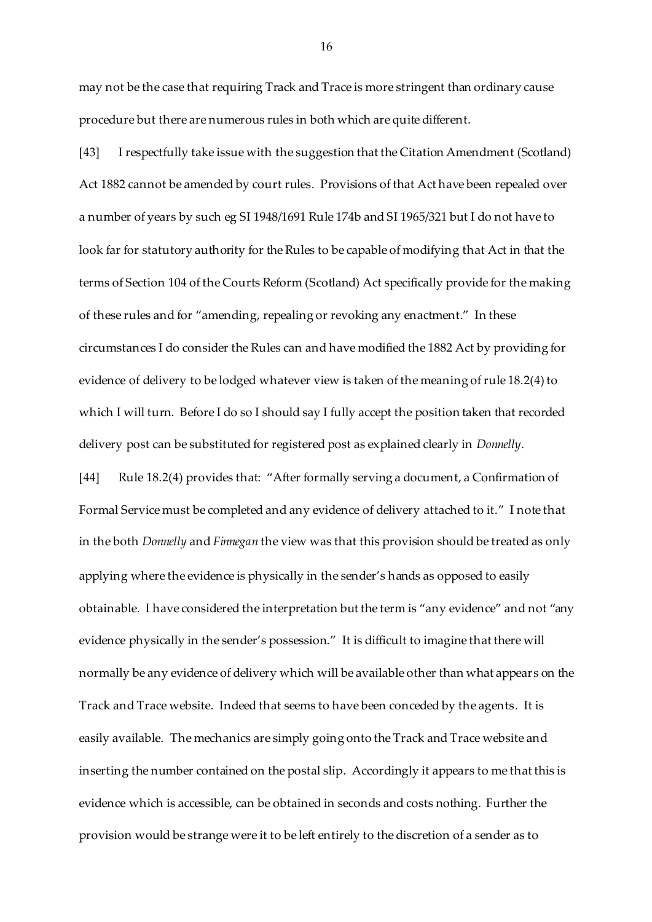may not be the case that requiring Track and Trace is more stringent than ordinary cause procedure but there are numerous rules in both which are quite different.

[43] I respectfully take issue with the suggestion that the Citation Amendment (Scotland) Act 1882 cannot be amended by court rules. Provisions of that Act have been repealed over a number of years by such eg SI 1948/1691 Rule 174b and SI 1965/321 but I do not have to look far for statutory authority for the Rules to be capable of modifying that Act in that the terms of Section 104 of the Courts Reform (Scotland) Act specifically provide for the making of these rules and for "amending, repealing or revoking any enactment." In these circumstances I do consider the Rules can and have modified the 1882 Act by providing for evidence of delivery to be lodged whatever view is taken of the meaning of rule 18.2(4) to which I will turn. Before I do so I should say I fully accept the position taken that recorded delivery post can be substituted for registered post as explained clearly in *Donnelly*.

[44] Rule 18.2(4) provides that: "After formally serving a document, a Confirmation of Formal Service must be completed and any evidence of delivery attached to it." I note that in the both *Donnelly* and *Finnegan* the view was that this provision should be treated as only applying where the evidence is physically in the sender's hands as opposed to easily obtainable. I have considered the interpretation but the term is "any evidence" and not "any evidence physically in the sender's possession." It is difficult to imagine that there will normally be any evidence of delivery which will be available other than what appears on the Track and Trace website. Indeed that seems to have been conceded by the agents. It is easily available. The mechanics are simply going onto the Track and Trace website and inserting the number contained on the postal slip. Accordingly it appears to me that this is evidence which is accessible, can be obtained in seconds and costs nothing. Further the provision would be strange were it to be left entirely to the discretion of a sender as to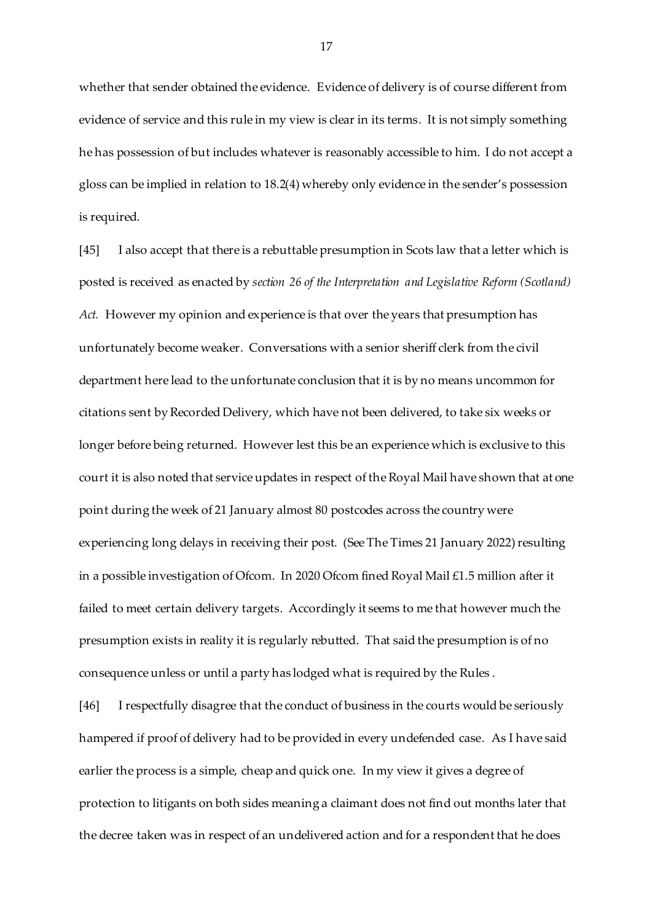whether that sender obtained the evidence. Evidence of delivery is of course different from evidence of service and this rule in my view is clear in its terms. It is not simply something he has possession of but includes whatever is reasonably accessible to him. I do not accept a gloss can be implied in relation to 18.2(4) whereby only evidence in the sender's possession is required.

[45] I also accept that there is a rebuttable presumption in Scots law that a letter which is posted is received as enacted by *section 26 of the Interpretation and Legislative Reform (Scotland) Act.* However my opinion and experience is that over the years that presumption has unfortunately become weaker. Conversations with a senior sheriff clerk from the civil department here lead to the unfortunate conclusion that it is by no means uncommon for citations sent by Recorded Delivery, which have not been delivered, to take six weeks or longer before being returned. However lest this be an experience which is exclusive to this court it is also noted that service updates in respect of the Royal Mail have shown that at one point during the week of 21 January almost 80 postcodes across the country were experiencing long delays in receiving their post. (See The Times 21 January 2022) resulting in a possible investigation of Ofcom. In 2020 Ofcom fined Royal Mail £1.5 million after it failed to meet certain delivery targets. Accordingly it seems to me that however much the presumption exists in reality it is regularly rebutted. That said the presumption is of no consequence unless or until a party has lodged what is required by the Rules .

[46] I respectfully disagree that the conduct of business in the courts would be seriously hampered if proof of delivery had to be provided in every undefended case. As I have said earlier the process is a simple, cheap and quick one. In my view it gives a degree of protection to litigants on both sides meaning a claimant does not find out months later that the decree taken was in respect of an undelivered action and for a respondent that he does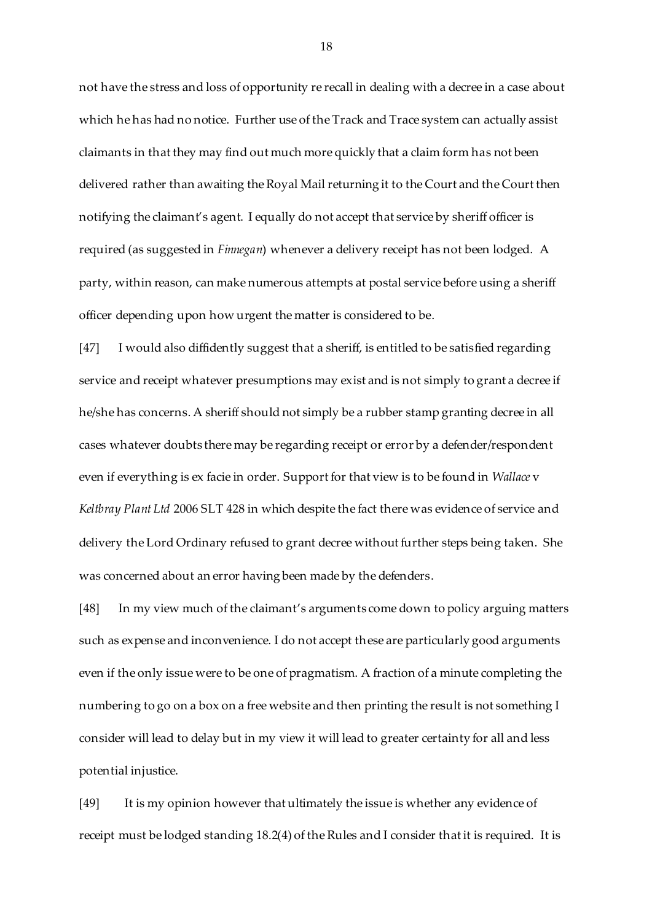not have the stress and loss of opportunity re recall in dealing with a decree in a case about which he has had no notice. Further use of the Track and Trace system can actually assist claimants in that they may find out much more quickly that a claim form has not been delivered rather than awaiting the Royal Mail returning it to the Court and the Court then notifying the claimant's agent. I equally do not accept that service by sheriff officer is required (as suggested in *Finnegan*) whenever a delivery receipt has not been lodged. A party, within reason, can make numerous attempts at postal service before using a sheriff officer depending upon how urgent the matter is considered to be.

[47] I would also diffidently suggest that a sheriff, is entitled to be satisfied regarding service and receipt whatever presumptions may exist and is not simply to grant a decree if he/she has concerns. A sheriff should not simply be a rubber stamp granting decree in all cases whatever doubts there may be regarding receipt or error by a defender/respondent even if everything is ex facie in order. Support for that view is to be found in *Wallace* v *Keltbray Plant Ltd* 2006 SLT 428 in which despite the fact there was evidence of service and delivery the Lord Ordinary refused to grant decree without further steps being taken. She was concerned about an error having been made by the defenders.

[48] In my view much of the claimant's arguments come down to policy arguing matters such as expense and inconvenience. I do not accept these are particularly good arguments even if the only issue were to be one of pragmatism. A fraction of a minute completing the numbering to go on a box on a free website and then printing the result is not something I consider will lead to delay but in my view it will lead to greater certainty for all and less potential injustice.

[49] It is my opinion however that ultimately the issue is whether any evidence of receipt must be lodged standing 18.2(4) of the Rules and I consider that it is required. It is